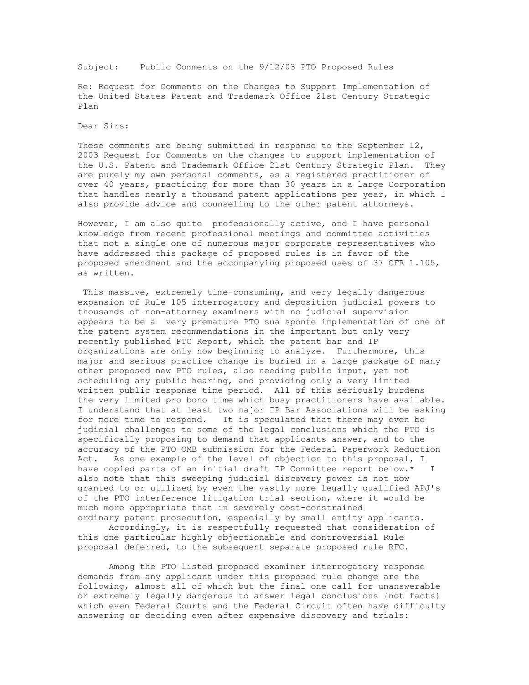Subject: Public Comments on the 9/12/03 PTO Proposed Rules

Re: Request for Comments on the Changes to Support Implementation of the United States Patent and Trademark Office 21st Century Strategic Plan

Dear Sirs:

These comments are being submitted in response to the September 12, 2003 Request for Comments on the changes to support implementation of the U.S. Patent and Trademark Office 21st Century Strategic Plan. They are purely my own personal comments, as a registered practitioner of over 40 years, practicing for more than 30 years in a large Corporation that handles nearly a thousand patent applications per year, in which I also provide advice and counseling to the other patent attorneys.

However, I am also quite professionally active, and I have personal knowledge from recent professional meetings and committee activities that not a single one of numerous major corporate representatives who have addressed this package of proposed rules is in favor of the proposed amendment and the accompanying proposed uses of 37 CFR 1.105, as written.

This massive, extremely time-consuming, and very legally dangerous expansion of Rule 105 interrogatory and deposition judicial powers to thousands of non-attorney examiners with no judicial supervision appears to be a very premature PTO sua sponte implementation of one of the patent system recommendations in the important but only very recently published FTC Report, which the patent bar and IP organizations are only now beginning to analyze. Furthermore, this major and serious practice change is buried in a large package of many other proposed new PTO rules, also needing public input, yet not scheduling any public hearing, and providing only a very limited written public response time period. All of this seriously burdens the very limited pro bono time which busy practitioners have available. I understand that at least two major IP Bar Associations will be asking for more time to respond. It is speculated that there may even be judicial challenges to some of the legal conclusions which the PTO is specifically proposing to demand that applicants answer, and to the accuracy of the PTO OMB submission for the Federal Paperwork Reduction Act. As one example of the level of objection to this proposal, I have copied parts of an initial draft IP Committee report below.\* I also note that this sweeping judicial discovery power is not now granted to or utilized by even the vastly more legally qualified APJ's of the PTO interference litigation trial section, where it would be much more appropriate that in severely cost-constrained ordinary patent prosecution, especially by small entity applicants.

Accordingly, it is respectfully requested that consideration of this one particular highly objectionable and controversial Rule proposal deferred, to the subsequent separate proposed rule RFC.

Among the PTO listed proposed examiner interrogatory response demands from any applicant under this proposed rule change are the following, almost all of which but the final one call for unanswerable or extremely legally dangerous to answer legal conclusions {not facts} which even Federal Courts and the Federal Circuit often have difficulty answering or deciding even after expensive discovery and trials: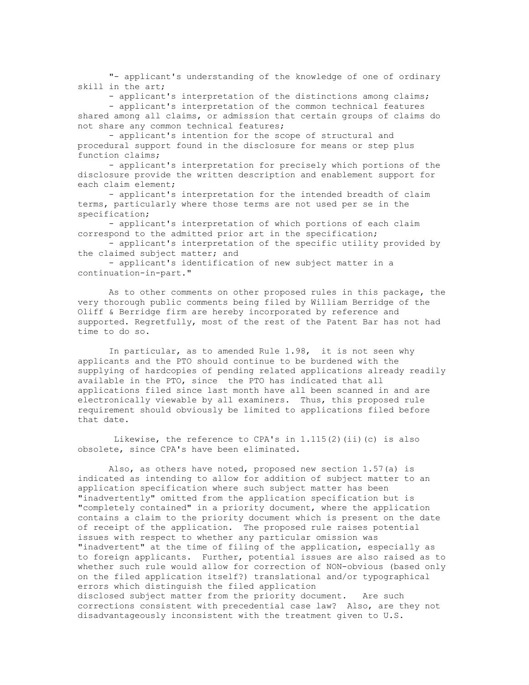"- applicant's understanding of the knowledge of one of ordinary skill in the art;

- applicant's interpretation of the distinctions among claims;

- applicant's interpretation of the common technical features shared among all claims, or admission that certain groups of claims do not share any common technical features;

- applicant's intention for the scope of structural and procedural support found in the disclosure for means or step plus function claims;

- applicant's interpretation for precisely which portions of the disclosure provide the written description and enablement support for each claim element;

- applicant's interpretation for the intended breadth of claim terms, particularly where those terms are not used per se in the specification;

- applicant's interpretation of which portions of each claim correspond to the admitted prior art in the specification;

- applicant's interpretation of the specific utility provided by the claimed subject matter; and

- applicant's identification of new subject matter in a continuation-in-part."

As to other comments on other proposed rules in this package, the very thorough public comments being filed by William Berridge of the Oliff & Berridge firm are hereby incorporated by reference and supported. Regretfully, most of the rest of the Patent Bar has not had time to do so.

In particular, as to amended Rule 1.98, it is not seen why applicants and the PTO should continue to be burdened with the supplying of hardcopies of pending related applications already readily available in the PTO, since the PTO has indicated that all applications filed since last month have all been scanned in and are electronically viewable by all examiners. Thus, this proposed rule requirement should obviously be limited to applications filed before that date.

Likewise, the reference to CPA's in  $1.115(2)$  (ii)(c) is also obsolete, since CPA's have been eliminated.

Also, as others have noted, proposed new section 1.57(a) is indicated as intending to allow for addition of subject matter to an application specification where such subject matter has been "inadvertently" omitted from the application specification but is "completely contained" in a priority document, where the application contains a claim to the priority document which is present on the date of receipt of the application. The proposed rule raises potential issues with respect to whether any particular omission was "inadvertent" at the time of filing of the application, especially as to foreign applicants. Further, potential issues are also raised as to whether such rule would allow for correction of NON-obvious (based only on the filed application itself?) translational and/or typographical errors which distinguish the filed application disclosed subject matter from the priority document. Are such corrections consistent with precedential case law? Also, are they not disadvantageously inconsistent with the treatment given to U.S.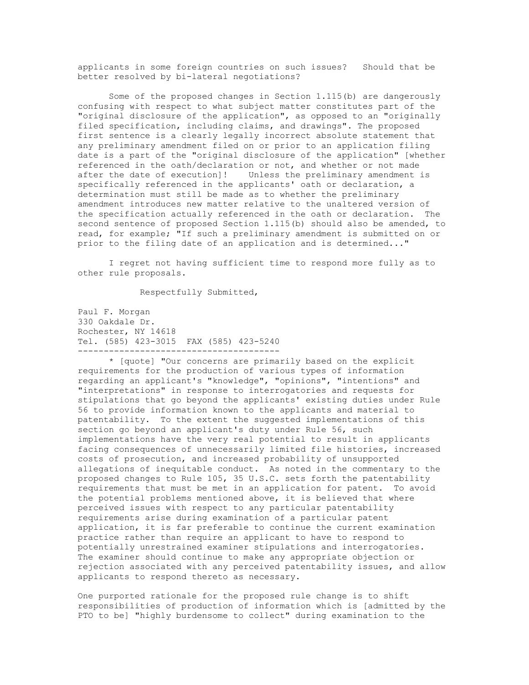applicants in some foreign countries on such issues? Should that be better resolved by bi-lateral negotiations?

Some of the proposed changes in Section 1.115(b) are dangerously confusing with respect to what subject matter constitutes part of the "original disclosure of the application", as opposed to an "originally filed specification, including claims, and drawings". The proposed first sentence is a clearly legally incorrect absolute statement that any preliminary amendment filed on or prior to an application filing date is a part of the "original disclosure of the application" [whether referenced in the oath/declaration or not, and whether or not made after the date of execution]! Unless the preliminary amendment is specifically referenced in the applicants' oath or declaration, a determination must still be made as to whether the preliminary amendment introduces new matter relative to the unaltered version of the specification actually referenced in the oath or declaration. The second sentence of proposed Section 1.115(b) should also be amended, to read, for example; "If such a preliminary amendment is submitted on or prior to the filing date of an application and is determined..."

I regret not having sufficient time to respond more fully as to other rule proposals.

Respectfully Submitted,

--------------------------------------- Paul F. Morgan 330 Oakdale Dr. Rochester, NY 14618 Tel. (585) 423-3015 FAX (585) 423-5240

\* [quote] "Our concerns are primarily based on the explicit requirements for the production of various types of information regarding an applicant's "knowledge", "opinions", "intentions" and "interpretations" in response to interrogatories and requests for stipulations that go beyond the applicants' existing duties under Rule 56 to provide information known to the applicants and material to patentability. To the extent the suggested implementations of this section go beyond an applicant's duty under Rule 56, such implementations have the very real potential to result in applicants facing consequences of unnecessarily limited file histories, increased costs of prosecution, and increased probability of unsupported allegations of inequitable conduct. As noted in the commentary to the proposed changes to Rule 105, 35 U.S.C. sets forth the patentability requirements that must be met in an application for patent. To avoid the potential problems mentioned above, it is believed that where perceived issues with respect to any particular patentability requirements arise during examination of a particular patent application, it is far preferable to continue the current examination practice rather than require an applicant to have to respond to potentially unrestrained examiner stipulations and interrogatories. The examiner should continue to make any appropriate objection or rejection associated with any perceived patentability issues, and allow applicants to respond thereto as necessary.

One purported rationale for the proposed rule change is to shift responsibilities of production of information which is [admitted by the PTO to be] "highly burdensome to collect" during examination to the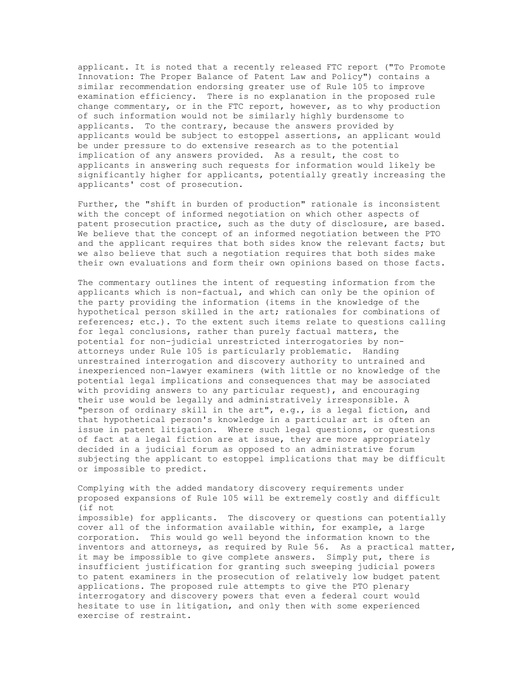applicant. It is noted that a recently released FTC report ("To Promote Innovation: The Proper Balance of Patent Law and Policy") contains a similar recommendation endorsing greater use of Rule 105 to improve examination efficiency. There is no explanation in the proposed rule change commentary, or in the FTC report, however, as to why production of such information would not be similarly highly burdensome to applicants. To the contrary, because the answers provided by applicants would be subject to estoppel assertions, an applicant would be under pressure to do extensive research as to the potential implication of any answers provided. As a result, the cost to applicants in answering such requests for information would likely be significantly higher for applicants, potentially greatly increasing the applicants' cost of prosecution.

Further, the "shift in burden of production" rationale is inconsistent with the concept of informed negotiation on which other aspects of patent prosecution practice, such as the duty of disclosure, are based. We believe that the concept of an informed negotiation between the PTO and the applicant requires that both sides know the relevant facts; but we also believe that such a negotiation requires that both sides make their own evaluations and form their own opinions based on those facts.

The commentary outlines the intent of requesting information from the applicants which is non-factual, and which can only be the opinion of the party providing the information (items in the knowledge of the hypothetical person skilled in the art; rationales for combinations of references; etc.). To the extent such items relate to questions calling for legal conclusions, rather than purely factual matters, the potential for non-judicial unrestricted interrogatories by nonattorneys under Rule 105 is particularly problematic. Handing unrestrained interrogation and discovery authority to untrained and inexperienced non-lawyer examiners (with little or no knowledge of the potential legal implications and consequences that may be associated with providing answers to any particular request), and encouraging their use would be legally and administratively irresponsible. A "person of ordinary skill in the art", e.g., is a legal fiction, and that hypothetical person's knowledge in a particular art is often an issue in patent litigation. Where such legal questions, or questions of fact at a legal fiction are at issue, they are more appropriately decided in a judicial forum as opposed to an administrative forum subjecting the applicant to estoppel implications that may be difficult or impossible to predict.

Complying with the added mandatory discovery requirements under proposed expansions of Rule 105 will be extremely costly and difficult (if not impossible) for applicants. The discovery or questions can potentially cover all of the information available within, for example, a large corporation. This would go well beyond the information known to the inventors and attorneys, as required by Rule 56. As a practical matter, it may be impossible to give complete answers. Simply put, there is insufficient justification for granting such sweeping judicial powers to patent examiners in the prosecution of relatively low budget patent applications. The proposed rule attempts to give the PTO plenary interrogatory and discovery powers that even a federal court would hesitate to use in litigation, and only then with some experienced exercise of restraint.